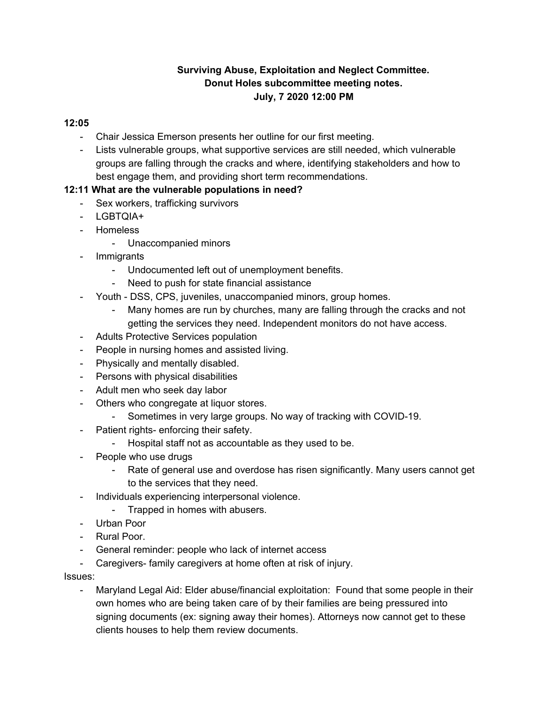# **Surviving Abuse, Exploitation and Neglect Committee. Donut Holes subcommittee meeting notes. July, 7 2020 12:00 PM**

#### **12:05**

- Chair Jessica Emerson presents her outline for our first meeting.
- Lists vulnerable groups, what supportive services are still needed, which vulnerable groups are falling through the cracks and where, identifying stakeholders and how to best engage them, and providing short term recommendations.

## **12:11 What are the vulnerable populations in need?**

- Sex workers, trafficking survivors
- LGBTQIA+
- Homeless
	- Unaccompanied minors
- Immigrants
	- Undocumented left out of unemployment benefits.
	- Need to push for state financial assistance
- Youth DSS, CPS, juveniles, unaccompanied minors, group homes.
	- Many homes are run by churches, many are falling through the cracks and not getting the services they need. Independent monitors do not have access.
- Adults Protective Services population
- People in nursing homes and assisted living.
- Physically and mentally disabled.
- Persons with physical disabilities
- Adult men who seek day labor
- Others who congregate at liquor stores.
	- Sometimes in very large groups. No way of tracking with COVID-19.
- Patient rights- enforcing their safety.
	- Hospital staff not as accountable as they used to be.
- People who use drugs
	- Rate of general use and overdose has risen significantly. Many users cannot get to the services that they need.
- Individuals experiencing interpersonal violence.
	- Trapped in homes with abusers.
- Urban Poor
- Rural Poor.
- General reminder: people who lack of internet access
- Caregivers- family caregivers at home often at risk of injury.

Issues:

- Maryland Legal Aid: Elder abuse/financial exploitation: Found that some people in their own homes who are being taken care of by their families are being pressured into signing documents (ex: signing away their homes). Attorneys now cannot get to these clients houses to help them review documents.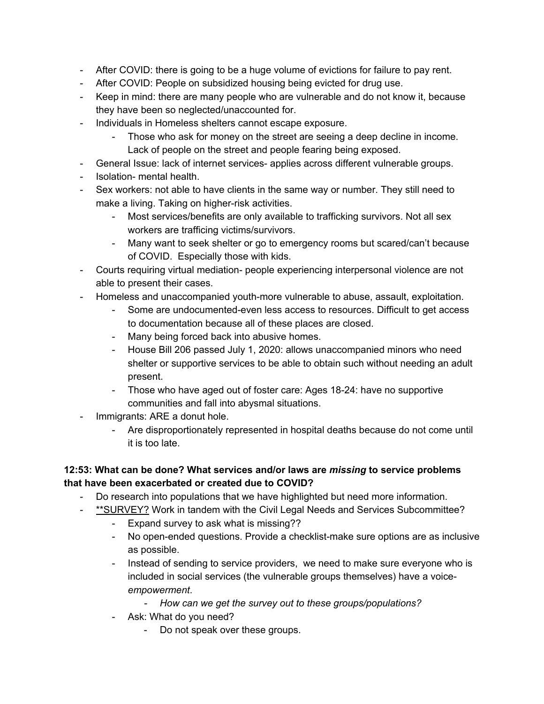- After COVID: there is going to be a huge volume of evictions for failure to pay rent.
- After COVID: People on subsidized housing being evicted for drug use.
- Keep in mind: there are many people who are vulnerable and do not know it, because they have been so neglected/unaccounted for.
- Individuals in Homeless shelters cannot escape exposure.
	- Those who ask for money on the street are seeing a deep decline in income. Lack of people on the street and people fearing being exposed.
- General Issue: lack of internet services- applies across different vulnerable groups.
- Isolation- mental health.
- Sex workers: not able to have clients in the same way or number. They still need to make a living. Taking on higher-risk activities.
	- Most services/benefits are only available to trafficking survivors. Not all sex workers are trafficing victims/survivors.
	- Many want to seek shelter or go to emergency rooms but scared/can't because of COVID. Especially those with kids.
- Courts requiring virtual mediation- people experiencing interpersonal violence are not able to present their cases.
- Homeless and unaccompanied youth-more vulnerable to abuse, assault, exploitation.
	- Some are undocumented-even less access to resources. Difficult to get access to documentation because all of these places are closed.
	- Many being forced back into abusive homes.
	- House Bill 206 passed July 1, 2020: allows unaccompanied minors who need shelter or supportive services to be able to obtain such without needing an adult present.
	- Those who have aged out of foster care: Ages 18-24: have no supportive communities and fall into abysmal situations.
- Immigrants: ARE a donut hole.
	- Are disproportionately represented in hospital deaths because do not come until it is too late.

## **12:53: What can be done? What services and/or laws are** *missing* **to service problems that have been exacerbated or created due to COVID?**

- Do research into populations that we have highlighted but need more information.
	- \*\*SURVEY? Work in tandem with the Civil Legal Needs and Services Subcommittee?
		- Expand survey to ask what is missing??
		- No open-ended questions. Provide a checklist-make sure options are as inclusive as possible.
		- Instead of sending to service providers, we need to make sure everyone who is included in social services (the vulnerable groups themselves) have a voice*empowerment*.
			- *- How can we get the survey out to these groups/populations?*
		- Ask: What do you need?
			- Do not speak over these groups.